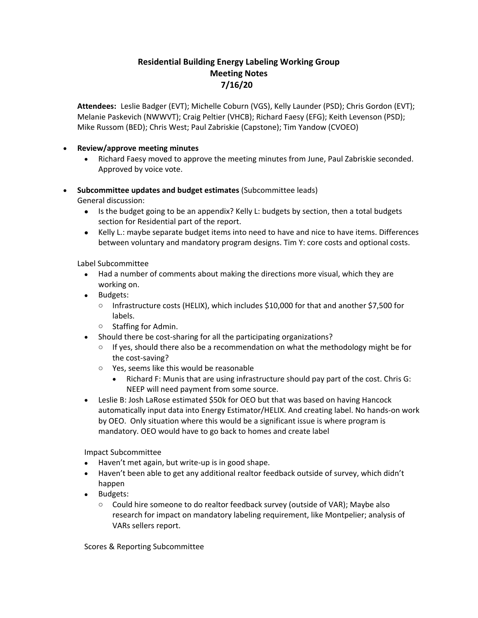## **Residential Building Energy Labeling Working Group Meeting Notes 7/16/20**

**Attendees:** Leslie Badger (EVT); Michelle Coburn (VGS), Kelly Launder (PSD); Chris Gordon (EVT); Melanie Paskevich (NWWVT); Craig Peltier (VHCB); Richard Faesy (EFG); Keith Levenson (PSD); Mike Russom (BED); Chris West; Paul Zabriskie (Capstone); Tim Yandow (CVOEO)

## • **Review/approve meeting minutes**

- Richard Faesy moved to approve the meeting minutes from June, Paul Zabriskie seconded. Approved by voice vote.
- **Subcommittee updates and budget estimates** (Subcommittee leads)

General discussion:

- Is the budget going to be an appendix? Kelly L: budgets by section, then a total budgets section for Residential part of the report.
- Kelly L.: maybe separate budget items into need to have and nice to have items. Differences between voluntary and mandatory program designs. Tim Y: core costs and optional costs.

Label Subcommittee

- Had a number of comments about making the directions more visual, which they are working on.
- Budgets:
	- $\circ$  Infrastructure costs (HELIX), which includes \$10,000 for that and another \$7,500 for labels.
	- o Staffing for Admin.
- Should there be cost-sharing for all the participating organizations?
	- $\circ$  If yes, should there also be a recommendation on what the methodology might be for the cost-saving?
	- o Yes, seems like this would be reasonable
		- Richard F: Munis that are using infrastructure should pay part of the cost. Chris G: NEEP will need payment from some source.
- Leslie B: Josh LaRose estimated \$50k for OEO but that was based on having Hancock automatically input data into Energy Estimator/HELIX. And creating label. No hands-on work by OEO. Only situation where this would be a significant issue is where program is mandatory. OEO would have to go back to homes and create label

Impact Subcommittee

- Haven't met again, but write-up is in good shape.
- Haven't been able to get any additional realtor feedback outside of survey, which didn't happen
- Budgets:
	- $\circ$  Could hire someone to do realtor feedback survey (outside of VAR); Maybe also research for impact on mandatory labeling requirement, like Montpelier; analysis of VARs sellers report.

Scores & Reporting Subcommittee